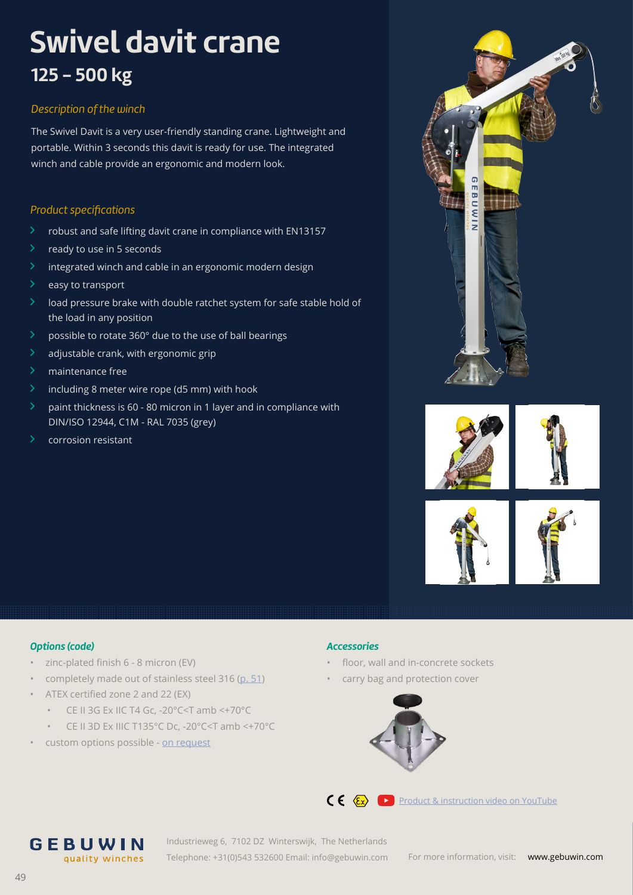# **Swivel davit crane 125 - 500 kg**

## *Description of the winch*

The Swivel Davit is a very user-friendly standing crane. Lightweight and portable. Within 3 seconds this davit is ready for use. The integrated winch and cable provide an ergonomic and modern look.

### *Product specifications*

- $\ge$  robust and safe lifting davit crane in compliance with EN13157
- $\ge$  ready to use in 5 seconds
- $\lambda$  integrated winch and cable in an ergonomic modern design
- $\angle$  easy to transport
- $\geq$  load pressure brake with double ratchet system for safe stable hold of the load in any position
- $\geq$  possible to rotate 360 $^{\circ}$  due to the use of ball bearings
- $\lambda$  adjustable crank, with ergonomic grip
- > maintenance free
- $\geq$  including 8 meter wire rope (d5 mm) with hook
- $\geq$  paint thickness is 60 80 micron in 1 layer and in compliance with DIN/ISO 12944, C1M - RAL 7035 (grey)
- $\angle$  corrosion resistant







#### *Options (code)*

- zinc-plated finish 6 8 micron (EV)
- completely made out of stainless steel 316 (p. 51)
- ATEX certified zone 2 and 22 (EX)

GEBUWIN

quality winches

- CE II 3G Ex IIC T4 Gc, -20°C<T amb <+70°C
- CE II 3D Ex IIIC T135°C Dc, -20°C<T amb <+70°C
- custom options possible - [on req](https://gebuwin.com/request-a-custom-product?utm_source=op%20aanvraag&utm_medium=brochure)uest

#### *Accessories*

- floor, wall and in-concrete sockets
- carry bag and protection cover





C  $\epsilon \ll \epsilon$  [Product & instruction video on YouTube](https://www.youtube.com/watch?v=fqNfsBQYaFQ)

Industrieweg 6, 7102 DZ Winterswijk, The Netherlands